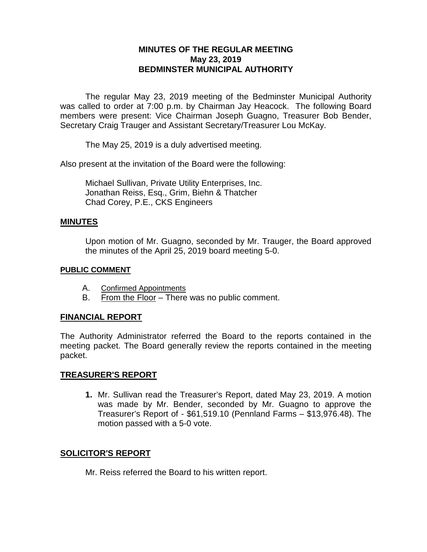## **MINUTES OF THE REGULAR MEETING May 23, 2019 BEDMINSTER MUNICIPAL AUTHORITY**

The regular May 23, 2019 meeting of the Bedminster Municipal Authority was called to order at 7:00 p.m. by Chairman Jay Heacock. The following Board members were present: Vice Chairman Joseph Guagno, Treasurer Bob Bender, Secretary Craig Trauger and Assistant Secretary/Treasurer Lou McKay.

The May 25, 2019 is a duly advertised meeting.

Also present at the invitation of the Board were the following:

Michael Sullivan, Private Utility Enterprises, Inc. Jonathan Reiss, Esq., Grim, Biehn & Thatcher Chad Corey, P.E., CKS Engineers

### **MINUTES**

Upon motion of Mr. Guagno, seconded by Mr. Trauger, the Board approved the minutes of the April 25, 2019 board meeting 5-0.

#### **PUBLIC COMMENT**

- A. Confirmed Appointments
- B. From the Floor There was no public comment.

## **FINANCIAL REPORT**

The Authority Administrator referred the Board to the reports contained in the meeting packet. The Board generally review the reports contained in the meeting packet.

## **TREASURER'S REPORT**

**1.** Mr. Sullivan read the Treasurer's Report, dated May 23, 2019. A motion was made by Mr. Bender, seconded by Mr. Guagno to approve the Treasurer's Report of - \$61,519.10 (Pennland Farms – \$13,976.48). The motion passed with a 5-0 vote.

## **SOLICITOR'S REPORT**

Mr. Reiss referred the Board to his written report.